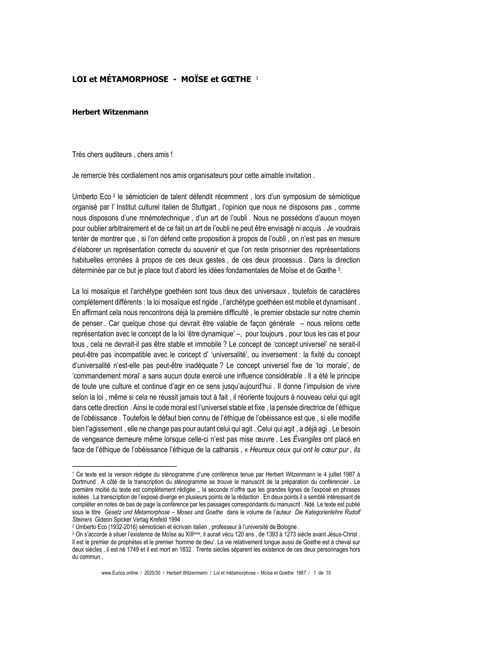## $1$  OT et MÉTAMORPHOSE - MOÏSE et GŒTHE  $1$

## **Herbert Witzenmann**

Très chers auditeurs, chers amis!

Je remercie très cordialement nos amis organisateurs pour cette aimable invitation.

Umberto Eco <sup>2</sup> le sémioticien de talent défendit récemment, lors d'un symposium de sémiotique organisé par l'Institut culturel italien de Stuttgart, l'opinion que nous ne disposons pas, comme nous disposons d'une mnémotechnique, d'un art de l'oubli. Nous ne possédons d'aucun moyen pour oublier arbitrairement et de ce fait un art de l'oubli ne peut être envisagé ni acquis. Je voudrais tenter de montrer que, si l'on défend cette proposition à propos de l'oubli, on n'est pas en mesure d'élaborer un représentation correcte du souvenir et que l'on reste prisonnier des représentations habituelles erronées à propos de ces deux gestes, de ces deux processus. Dans la direction déterminée par ce but je place tout d'abord les idées fondamentales de Moïse et de Gœthe 3.

La loi mosaïque et l'archétype goethéen sont tous deux des universaux, toutefois de caractères complètement différents : la loi mosaïque est rigide, l'archétype goethéen est mobile et dynamisant. En affirmant cela nous rencontrons déjà la première difficulté, le premier obstacle sur notre chemin de penser, Car quelque chose qui devrait être valable de facon générale – nous relions cette représentation avec le concept de la loi 'être dynamique' -, pour toujours, pour tous les cas et pour tous, cela ne devrait-il pas être stable et immobile ? Le concept de 'concept universel' ne serait-il peut-être pas incompatible avec le concept d' 'universalité', ou inversement : la fixité du concept d'universalité n'est-elle pas peut-être inadéquate ? Le concept universel fixe de 'loi morale', de 'commandement moral' a sans aucun doute exercé une influence considérable. Il a été le principe de toute une culture et continue d'agir en ce sens jusqu'aujourd'hui. Il donne l'impulsion de vivre selon la loi, même si cela ne réussit jamais tout à fait, il réoriente toujours à nouveau celui qui agit dans cette direction. Ainsi le code moral est l'universel stable et fixe, la pensée directrice de l'éthique de l'obéissance. Toutefois le défaut bien connu de l'éthique de l'obéissance est que, si elle modifie bien l'agissement, elle ne change pas pour autant celui qui agit. Celui qui agit, a déjà agi. Le besoin de vengeance demeure même lorsque celle-ci n'est pas mise œuvre . Les Évangiles ont placé en face de l'éthique de l'obéissance l'éthique de la catharsis, « Heureux ceux qui ont le cœur pur, ils

<sup>&</sup>lt;sup>1</sup> Ce texte est la version rédigée du sténogramme d'une conférence tenue par Herbert Witzenmann le 4 juillet 1987 à Dortmund. A côté de la transcription du sténogramme se trouve le manuscrit de la préparation du conférencier. Le première moitié du texte est complétement rédigée " la seconde n'offre que les grandes lignes de l'exposé en phrases isolées. La transcription de l'exposé diverge en plusieurs points de la rédaction. En deux points il a semblé intéressant de compléter en notes de bas de page la conférence par les passages correspondants du manuscrit . Ndé. Le texte est publié sous le titre Gesetz und Metamorphose - Moses und Goethe dans le volume de l'auteur Die Kategorienlehre Rudolf Steiners Gideon Spicker Verlag Krefeld 1994.

<sup>&</sup>lt;sup>2</sup> Umberto Eco (1932-2016) sémioticien et écrivain italien, professeur à l'université de Bologne.

<sup>3</sup> On s'accorde à situer l'existence de Moïse au XIIIème, il aurait vécu 120 ans, de 1393 à 1273 siècle avant Jésus-Christ. Il est le premier de prophètes et le premier 'homme de dieu'. La vie relativement longue aussi de Goethe est à cheval sur deux siècles, il est né 1749 et il est mort en 1832. Trente siècles séparent les existence de ces deux personnages hors du commun.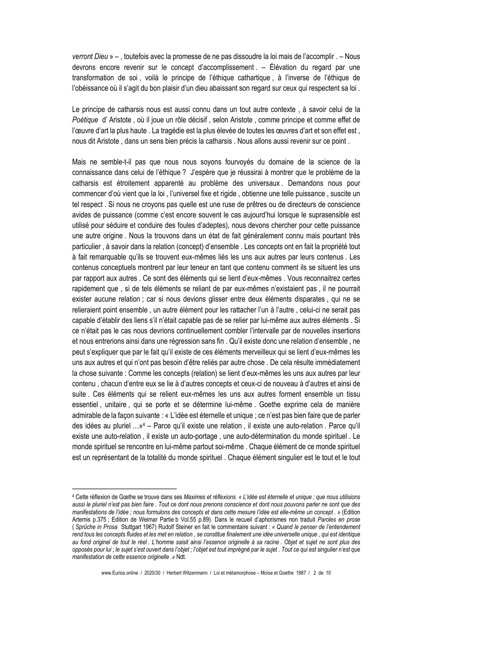verront Dieu » - , toutefois avec la promesse de ne pas dissoudre la loi mais de l'accomplir. - Nous devrons encore revenir sur le concept d'accomplissement. - Élévation du regard par une transformation de soi, voilà le principe de l'éthique cathartique, à l'inverse de l'éthique de l'obéissance où il s'agit du bon plaisir d'un dieu abaissant son regard sur ceux qui respectent sa loi.

Le principe de catharsis nous est aussi connu dans un tout autre contexte, à savoir celui de la Poétique d'Aristote, où il joue un rôle décisif, selon Aristote, comme principe et comme effet de l'œuvre d'art la plus haute. La tragédie est la plus élevée de toutes les œuvres d'art et son effet est, nous dit Aristote, dans un sens bien précis la catharsis. Nous allons aussi revenir sur ce point.

Mais ne semble-t-il pas que nous nous soyons fourvoyés du domaine de la science de la connaissance dans celui de l'éthique ? J'espère que je réussirai à montrer que le problème de la catharsis est étroitement apparenté au problème des universaux. Demandons nous pour commencer d'où vient que la loi, l'universel fixe et rigide, obtienne une telle puissance, suscite un tel respect. Si nous ne croyons pas quelle est une ruse de prêtres ou de directeurs de conscience avides de puissance (comme c'est encore souvent le cas aujourd'hui lorsque le suprasensible est utilisé pour séduire et conduire des foules d'adeptes), nous devons chercher pour cette puissance une autre origine. Nous la trouvons dans un état de fait généralement connu mais pourtant très particulier, à savoir dans la relation (concept) d'ensemble. Les concepts ont en fait la propriété tout à fait remarquable qu'ils se trouvent eux-mêmes liés les uns aux autres par leurs contenus. Les contenus conceptuels montrent par leur teneur en tant que contenu comment ils se situent les uns par rapport aux autres . Ce sont des éléments qui se lient d'eux-mêmes . Vous reconnaitrez certes rapidement que, si de tels éléments se reliant de par eux-mêmes n'existaient pas, il ne pourrait exister aucune relation ; car si nous devions glisser entre deux éléments disparates, qui ne se relieraient point ensemble, un autre élément pour les rattacher l'un à l'autre, celui-ci ne serait pas capable d'établir des liens s'il n'était capable pas de se relier par lui-même aux autres éléments . Si ce n'était pas le cas nous devrions continuellement combler l'intervalle par de nouvelles insertions et nous entrerions ainsi dans une régression sans fin . Qu'il existe donc une relation d'ensemble, ne peut s'expliquer que par le fait qu'il existe de ces éléments merveilleux qui se lient d'eux-mêmes les uns aux autres et qui n'ont pas besoin d'être reliés par autre chose . De cela résulte immédiatement la chose suivante : Comme les concepts (relation) se lient d'eux-mêmes les uns aux autres par leur contenu, chacun d'entre eux se lie à d'autres concepts et ceux-ci de nouveau à d'autres et ainsi de suite. Ces éléments qui se relient eux-mêmes les uns aux autres forment ensemble un tissu essentiel, unitaire, qui se porte et se détermine lui-même. Goethe exprime cela de manière admirable de la façon suivante : « L'idée est éternelle et unique ; ce n'est pas bien faire que de parler des idées au pluriel ...»<sup>4</sup> – Parce qu'il existe une relation, il existe une auto-relation. Parce qu'il existe une auto-relation, il existe un auto-portage, une auto-détermination du monde spirituel. Le monde spirituel se rencontre en lui-même partout soi-même . Chaque élément de ce monde spirituel est un représentant de la totalité du monde spirituel . Chaque élément singulier est le tout et le tout

<sup>4</sup> Cette réflexion de Gœthe se trouve dans ses Maximes et réflexions « L'idée est éternelle et unique ; que nous utilisions aussi le pluriel n'est pas bien faire. Tout ce dont nous prenons conscience et dont nous pouvons parler ne sont que des manifestations de l'idée ; nous formulons des concepts et dans cette mesure l'idée est elle-même un concept. » (Edition Artemis p.375; Edition de Weimar Partie b Vol.55 p.89). Dans le recueil d'aphorismes non traduit Paroles en prose (Sprüche in Prosa Stuttgart 1967) Rudolf Steiner en fait le commentaire suivant : « Quand le penser de l'entendement rend tous les concepts fluides et les met en relation, se constitue finalement une idée universelle unique, qui est identique au fond originel de tout le réel . L'homme saisit ainsi l'essence originelle à sa racine . Objet et sujet ne sont plus des opposés pour lui ; le sujet s'est ouvert dans l'objet ; l'objet est tout imprégné par le sujet. Tout ce qui est singulier n'est que manifestation de cette essence originelle .» Ndt.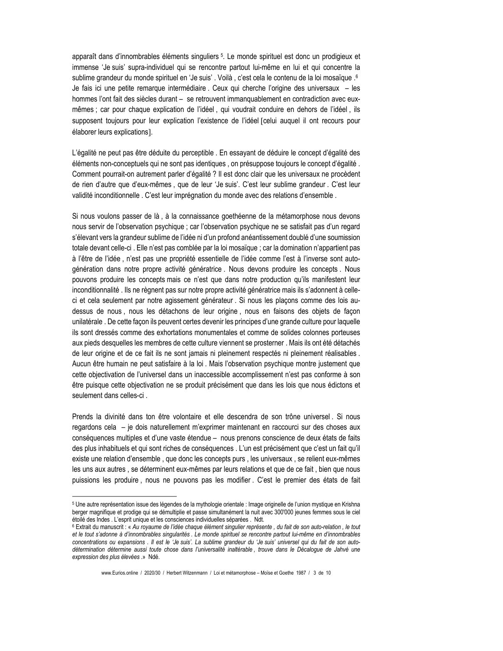apparaît dans d'innombrables éléments singuliers <sup>5</sup>. Le monde spirituel est donc un prodigieux et immense 'Je suis' supra-individuel qui se rencontre partout lui-même en lui et qui concentre la sublime grandeur du monde spirituel en 'Je suis' . Voilà, c'est cela le contenu de la loi mosaïque . 6 Je fais ici une petite remarque intermédiaire. Ceux qui cherche l'origine des universaux – les hommes l'ont fait des siècles durant - se retrouvent immanquablement en contradiction avec euxmêmes ; car pour chaque explication de l'idéel, qui voudrait conduire en dehors de l'idéel, ils supposent toujours pour leur explication l'existence de l'idéel [celui auquel il ont recours pour élaborer leurs explications].

L'égalité ne peut pas être déduite du perceptible. En essayant de déduire le concept d'égalité des éléments non-conceptuels qui ne sont pas identiques, on présuppose toujours le concept d'égalité. Comment pourrait-on autrement parler d'égalité ? Il est donc clair que les universaux ne procèdent de rien d'autre que d'eux-mêmes, que de leur 'Je suis'. C'est leur sublime grandeur. C'est leur validité inconditionnelle . C'est leur imprégnation du monde avec des relations d'ensemble.

Si nous voulons passer de là, à la connaissance goethéenne de la métamorphose nous devons nous servir de l'observation psychique ; car l'observation psychique ne se satisfait pas d'un regard s'élevant vers la grandeur sublime de l'idée ni d'un profond anéantissement doublé d'une soumission totale devant celle-ci . Elle n'est pas comblée par la loi mosaïque ; car la domination n'appartient pas à l'être de l'idée, n'est pas une propriété essentielle de l'idée comme l'est à l'inverse sont autogénération dans notre propre activité génératrice. Nous devons produire les concepts. Nous pouvons produire les concepts mais ce n'est que dans notre production qu'ils manifestent leur inconditionnalité. Ils ne règnent pas sur notre propre activité génératrice mais ils s'adonnent à celleci et cela seulement par notre agissement générateur. Si nous les plaçons comme des lois audessus de nous, nous les détachons de leur origine, nous en faisons des objets de facon unilatérale. De cette façon ils peuvent certes devenir les principes d'une grande culture pour laquelle ils sont dressés comme des exhortations monumentales et comme de solides colonnes porteuses aux pieds desquelles les membres de cette culture viennent se prosterner. Mais ils ont été détachés de leur origine et de ce fait ils ne sont jamais ni pleinement respectés ni pleinement réalisables. Aucun être humain ne peut satisfaire à la loi. Mais l'observation psychique montre justement que cette objectivation de l'universel dans un inaccessible accomplissement n'est pas conforme à son être puisque cette objectivation ne se produit précisément que dans les lois que nous édictons et seulement dans celles-ci

Prends la divinité dans ton être volontaire et elle descendra de son trône universel. Si nous regardons cela – je dois naturellement m'exprimer maintenant en raccourci sur des choses aux conséquences multiples et d'une vaste étendue - nous prenons conscience de deux états de faits des plus inhabituels et qui sont riches de conséquences . L'un est précisément que c'est un fait qu'il existe une relation d'ensemble, que donc les concepts purs, les universaux, se relient eux-mêmes les uns aux autres, se déterminent eux-mêmes par leurs relations et que de ce fait, bien que nous puissions les produire, nous ne pouvons pas les modifier. C'est le premier des états de fait

<sup>&</sup>lt;sup>5</sup> Une autre représentation issue des légendes de la mythologie orientale : Image originelle de l'union mystique en Krishna berger magnifique et prodige qui se démultiplie et passe simultanément la nuit avec 300'000 jeunes femmes sous le ciel étoilé des Indes. L'esprit unique et les consciences individuelles séparées. Ndt.

<sup>6</sup> Extrait du manuscrit : « Au royaume de l'idée chaque élément singulier représente, du fait de son auto-relation, le tout et le tout s'adonne à d'innombrables singularités. Le monde spirituel se rencontre partout lui-même en d'innombrables concentrations ou expansions. Il est le 'Je suis'. La sublime grandeur du 'Je suis' universel qui du fait de son autodétermination détermine aussi toute chose dans l'universalité inaltérable, trouve dans le Décalogue de Jahvé une expression des plus élevées .» Ndé.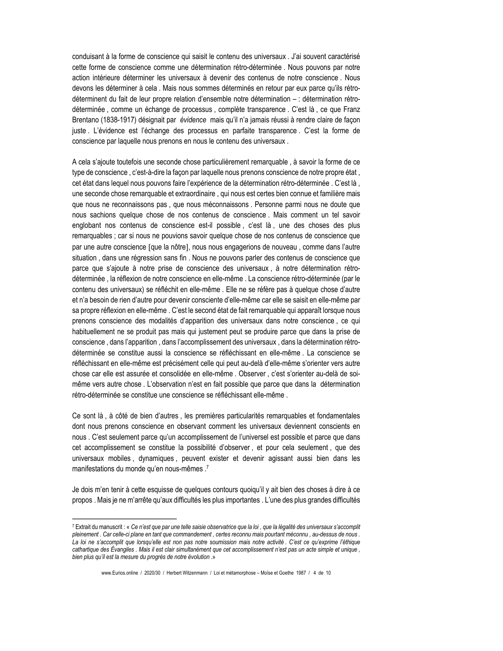conduisant à la forme de conscience qui saisit le contenu des universaux, J'ai souvent caractérisé cette forme de conscience comme une détermination rétro-déterminée . Nous pouvons par notre action intérieure déterminer les universaux à devenir des contenus de notre conscience. Nous devons les déterminer à cela. Mais nous sommes déterminés en retour par eux parce qu'ils rétrodéterminent du fait de leur propre relation d'ensemble notre détermination - : détermination rétrodéterminée, comme un échange de processus, complète transparence. C'est là, ce que Franz Brentano (1838-1917) désignait par évidence mais qu'il n'a jamais réussi à rendre claire de façon juste. L'évidence est l'échange des processus en parfaite transparence. C'est la forme de conscience par laquelle nous prenons en nous le contenu des universaux.

A cela s'ajoute toutefois une seconde chose particulièrement remarquable, à savoir la forme de ce type de conscience, c'est-à-dire la façon par laquelle nous prenons conscience de notre propre état, cet état dans lequel nous pouvons faire l'expérience de la détermination rétro-déterminée . C'est là, une seconde chose remarquable et extraordinaire, qui nous est certes bien connue et familière mais que nous ne reconnaissons pas, que nous méconnaissons. Personne parmi nous ne doute que nous sachions quelque chose de nos contenus de conscience. Mais comment un tel savoir englobant nos contenus de conscience est-il possible, c'est là, une des choses des plus remarquables ; car si nous ne pouvions savoir quelque chose de nos contenus de conscience que par une autre conscience [que la nôtre], nous nous engagerions de nouveau, comme dans l'autre situation, dans une régression sans fin. Nous ne pouvons parler des contenus de conscience que parce que s'ajoute à notre prise de conscience des universaux, à notre détermination rétrodéterminée, la réflexion de notre conscience en elle-même. La conscience rétro-déterminée (par le contenu des universaux) se réfléchit en elle-même. Elle ne se réfère pas à quelque chose d'autre et n'a besoin de rien d'autre pour devenir consciente d'elle-même car elle se saisit en elle-même par sa propre réflexion en elle-même. C'est le second état de fait remarquable qui apparaît lorsque nous prenons conscience des modalités d'apparition des universaux dans notre conscience, ce qui habituellement ne se produit pas mais qui justement peut se produire parce que dans la prise de conscience, dans l'apparition, dans l'accomplissement des universaux, dans la détermination rétrodéterminée se constitue aussi la conscience se réfléchissant en elle-même. La conscience se réfléchissant en elle-même est précisément celle qui peut au-delà d'elle-même s'orienter vers autre chose car elle est assurée et consolidée en elle-même . Observer, c'est s'orienter au-delà de soimême vers autre chose . L'observation n'est en fait possible que parce que dans la détermination rétro-déterminée se constitue une conscience se réfléchissant elle-même.

Ce sont là, à côté de bien d'autres, les premières particularités remarquables et fondamentales dont nous prenons conscience en observant comment les universaux deviennent conscients en nous . C'est seulement parce qu'un accomplissement de l'universel est possible et parce que dans cet accomplissement se constitue la possibilité d'observer, et pour cela seulement, que des universaux mobiles, dynamiques, peuvent exister et devenir agissant aussi bien dans les manifestations du monde qu'en nous-mêmes .7

Je dois m'en tenir à cette esquisse de quelques contours quoiqu'il y ait bien des choses à dire à ce propos. Mais je ne m'arrête qu'aux difficultés les plus importantes. L'une des plus grandes difficultés

<sup>7</sup> Extrait du manuscrit : « Ce n'est que par une telle saisie observatrice que la loi, que la légalité des universaux s'accomplit pleinement. Car celle-ci plane en tant que commandement, certes reconnu mais pourtant méconnu, au-dessus de nous. La loi ne s'accomplit que lorsqu'elle est non pas notre soumission mais notre activité. C'est ce qu'exprime l'éthique cathartique des Évangiles . Mais il est clair simultanément que cet accomplissement n'est pas un acte simple et unique, bien plus qu'il est la mesure du progrès de notre évolution .»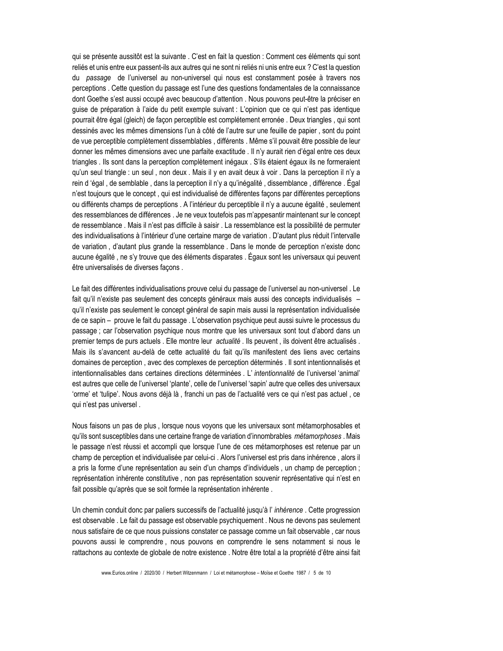qui se présente aussitôt est la suivante . C'est en fait la question : Comment ces éléments qui sont reliés et unis entre eux passent-ils aux autres qui ne sont ni reliés ni unis entre eux ? C'est la question du passage de l'universel au non-universel qui nous est constamment posée à travers nos perceptions. Cette question du passage est l'une des questions fondamentales de la connaissance dont Goethe s'est aussi occupé avec beaucoup d'attention . Nous pouvons peut-être la préciser en guise de préparation à l'aide du petit exemple suivant : L'opinion que ce qui n'est pas identique pourrait être égal (gleich) de façon perceptible est complétement erronée . Deux triangles, qui sont dessinés avec les mêmes dimensions l'un à côté de l'autre sur une feuille de papier, sont du point de vue perceptible complètement dissemblables, différents . Même s'il pouvait être possible de leur donner les mêmes dimensions avec une parfaite exactitude . Il n'y aurait rien d'égal entre ces deux triangles. Ils sont dans la perception complètement inégaux . S'ils étaient égaux ils ne formeraient qu'un seul triangle : un seul, non deux. Mais il y en avait deux à voir. Dans la perception il n'y a rein d 'égal, de semblable, dans la perception il n'y a qu'inégalité, dissemblance, différence. Égal n'est toujours que le concept, qui est individualisé de différentes façons par différentes perceptions ou différents champs de perceptions . A l'intérieur du perceptible il n'y a aucune égalité, seulement des ressemblances de différences. Je ne veux toutefois pas m'appesantir maintenant sur le concept de ressemblance. Mais il n'est pas difficile à saisir. La ressemblance est la possibilité de permuter des individualisations à l'intérieur d'une certaine marge de variation . D'autant plus réduit l'intervalle de variation, d'autant plus grande la ressemblance. Dans le monde de perception n'existe donc aucune égalité, ne s'y trouve que des éléments disparates. Égaux sont les universaux qui peuvent être universalisés de diverses façons.

Le fait des différentes individualisations prouve celui du passage de l'universel au non-universel. Le fait qu'il n'existe pas seulement des concepts généraux mais aussi des concepts individualisés qu'il n'existe pas seulement le concept général de sapin mais aussi la représentation individualisée de ce sapin - prouve le fait du passage . L'observation psychique peut aussi suivre le processus du passage; car l'observation psychique nous montre que les universaux sont tout d'abord dans un premier temps de purs actuels. Elle montre leur *actualité*. Ils peuvent, ils doivent être actualisés. Mais ils s'avancent au-delà de cette actualité du fait qu'ils manifestent des liens avec certains domaines de perception, avec des complexes de perception déterminés. Il sont intentionnalisés et intentionnalisables dans certaines directions déterminées . L'intentionnalité de l'universel 'animal' est autres que celle de l'universel 'plante', celle de l'universel 'sapin' autre que celles des universaux 'orme' et 'tulipe'. Nous avons déjà là, franchi un pas de l'actualité vers ce qui n'est pas actuel, ce qui n'est pas universel.

Nous faisons un pas de plus, lorsque nous voyons que les universaux sont métamorphosables et gu'ils sont susceptibles dans une certaine frange de variation d'innombrables *métamorphoses*. Mais le passage n'est réussi et accompli que lorsque l'une de ces métamorphoses est retenue par un champ de perception et individualisée par celui-ci . Alors l'universel est pris dans inhérence, alors il a pris la forme d'une représentation au sein d'un champs d'individuels, un champ de perception; représentation inhérente constitutive, non pas représentation souvenir représentative qui n'est en fait possible qu'après que se soit formée la représentation inhérente.

Un chemin conduit donc par paliers successifs de l'actualité jusqu'à l' inhérence. Cette progression est observable . Le fait du passage est observable psychiquement . Nous ne devons pas seulement nous satisfaire de ce que nous puissions constater ce passage comme un fait observable, car nous pouvons aussi le comprendre, nous pouvons en comprendre le sens notamment si nous le rattachons au contexte de globale de notre existence . Notre être total a la propriété d'être ainsi fait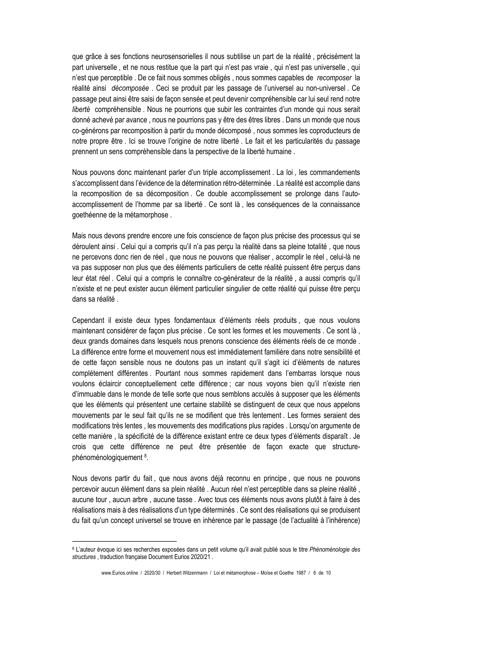que grâce à ses fonctions neurosensorielles il nous subtilise un part de la réalité, précisément la part universelle, et ne nous restitue que la part qui n'est pas vraie, qui n'est pas universelle, qui n'est que perceptible . De ce fait nous sommes obligés, nous sommes capables de recomposer la réalité ainsi décomposée. Ceci se produit par les passage de l'universel au non-universel. Ce passage peut ainsi être saisi de façon sensée et peut devenir compréhensible car lui seul rend notre liberté compréhensible. Nous ne pourrions que subir les contraintes d'un monde qui nous serait donné achevé par avance, nous ne pourrions pas y être des êtres libres. Dans un monde que nous co-générons par recomposition à partir du monde décomposé, nous sommes les coproducteurs de notre propre être . Ici se trouve l'origine de notre liberté . Le fait et les particularités du passage prennent un sens compréhensible dans la perspective de la liberté humaine.

Nous pouvons donc maintenant parler d'un triple accomplissement. La loi, les commandements s'accomplissent dans l'évidence de la détermination rétro-déterminée. La réalité est accomplie dans la recomposition de sa décomposition. Ce double accomplissement se prolonge dans l'autoaccomplissement de l'homme par sa liberté. Ce sont là, les conséquences de la connaissance goethéenne de la métamorphose.

Mais nous devons prendre encore une fois conscience de façon plus précise des processus qui se déroulent ainsi. Celui qui a compris qu'il n'a pas percu la réalité dans sa pleine totalité, que nous ne percevons donc rien de réel, que nous ne pouvons que réaliser, accomplir le réel, celui-là ne va pas supposer non plus que des éléments particuliers de cette réalité puissent être perçus dans leur état réel . Celui qui a compris le connaître co-générateur de la réalité, a aussi compris qu'il n'existe et ne peut exister aucun élément particulier singulier de cette réalité qui puisse être perçu dans sa réalité.

Cependant il existe deux types fondamentaux d'éléments réels produits, que nous voulons maintenant considérer de façon plus précise . Ce sont les formes et les mouvements . Ce sont là, deux grands domaines dans lesquels nous prenons conscience des éléments réels de ce monde. La différence entre forme et mouvement nous est immédiatement familière dans notre sensibilité et de cette facon sensible nous ne doutons pas un instant qu'il s'agit ici d'éléments de natures complétement différentes. Pourtant nous sommes rapidement dans l'embarras lorsque nous voulons éclaircir conceptuellement cette différence ; car nous voyons bien qu'il n'existe rien d'immuable dans le monde de telle sorte que nous semblons acculés à supposer que les éléments que les éléments qui présentent une certaine stabilité se distinguent de ceux que nous appelons mouvements par le seul fait qu'ils ne se modifient que très lentement. Les formes seraient des modifications très lentes, les mouvements des modifications plus rapides. Lorsqu'on argumente de cette manière. la spécificité de la différence existant entre ce deux types d'éléments disparaît, Je crois que cette différence ne peut être présentée de facon exacte que structurephénoménologiquement<sup>8</sup>.

Nous devons partir du fait, que nous avons déjà reconnu en principe, que nous ne pouvons percevoir aucun élément dans sa plein réalité. Aucun réel n'est perceptible dans sa pleine réalité, aucune tour, aucun arbre, aucune tasse. Avec tous ces éléments nous avons plutôt à faire à des réalisations mais à des réalisations d'un type déterminés . Ce sont des réalisations qui se produisent du fait qu'un concept universel se trouve en inhérence par le passage (de l'actualité à l'inhérence)

<sup>8</sup> L'auteur évoque ici ses recherches exposées dans un petit volume qu'il avait publié sous le titre Phénoménologie des structures, traduction française Document Eurios 2020/21.

www.Eurios.online / 2020/30 / Herbert Witzenmann / Loi et métamorphose - Moïse et Goethe 1987 / 6 de 10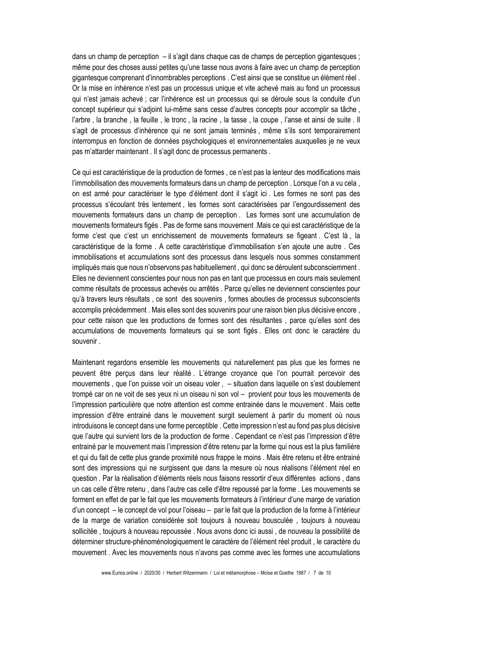dans un champ de perception – il s'agit dans chaque cas de champs de perception gigantesques : même pour des choses aussi petites qu'une tasse nous avons à faire avec un champ de perception gigantesque comprenant d'innombrables perceptions . C'est ainsi que se constitue un élément réel. Or la mise en inhérence n'est pas un processus unique et vite achevé mais au fond un processus qui n'est jamais achevé ; car l'inhérence est un processus qui se déroule sous la conduite d'un concept supérieur qui s'adjoint lui-même sans cesse d'autres concepts pour accomplir sa tâche, l'arbre, la branche, la feuille, le tronc, la racine, la tasse, la coupe, l'anse et ainsi de suite. Il s'agit de processus d'inhérence qui ne sont jamais terminés, même s'ils sont temporairement interrompus en fonction de données psychologiques et environnementales auxquelles je ne veux pas m'attarder maintenant . Il s'agit donc de processus permanents .

Ce qui est caractéristique de la production de formes, ce n'est pas la lenteur des modifications mais l'immobilisation des mouvements formateurs dans un champ de perception . Lorsque l'on a vu cela, on est armé pour caractériser le type d'élément dont il s'agit ici. Les formes ne sont pas des processus s'écoulant très lentement, les formes sont caractérisées par l'engourdissement des mouvements formateurs dans un champ de perception, Les formes sont une accumulation de mouvements formateurs figés. Pas de forme sans mouvement . Mais ce qui est caractéristique de la forme c'est que c'est un enrichissement de mouvements formateurs se figeant. C'est là, la caractéristique de la forme. A cette caractéristique d'immobilisation s'en ajoute une autre. Ces immobilisations et accumulations sont des processus dans lesquels nous sommes constamment impliqués mais que nous n'observons pas habituellement, qui donc se déroulent subconsciemment. Elles ne deviennent conscientes pour nous non pas en tant que processus en cours mais seulement comme résultats de processus achevés ou arrêtés. Parce qu'elles ne deviennent conscientes pour qu'à travers leurs résultats, ce sont des souvenirs, formes abouties de processus subconscients accomplis précédemment. Mais elles sont des souvenirs pour une raison bien plus décisive encore, pour cette raison que les productions de formes sont des résultantes, parce qu'elles sont des accumulations de mouvements formateurs qui se sont figés . Elles ont donc le caractère du souvenir.

Maintenant regardons ensemble les mouvements qui naturellement pas plus que les formes ne peuvent être percus dans leur réalité. L'étrange croyance que l'on pourrait percevoir des mouvements, que l'on puisse voir un oiseau voler, – situation dans laquelle on s'est doublement trompé car on ne voit de ses yeux ni un oiseau ni son vol - provient pour tous les mouvements de l'impression particulière que notre attention est comme entrainée dans le mouvement. Mais cette impression d'être entrainé dans le mouvement surgit seulement à partir du moment où nous introduisons le concept dans une forme perceptible. Cette impression n'est au fond pas plus décisive que l'autre qui survient lors de la production de forme, Cependant ce n'est pas l'impression d'être entrainé par le mouvement mais l'impression d'être retenu par la forme qui nous est la plus familière et qui du fait de cette plus grande proximité nous frappe le moins . Mais être retenu et être entrainé sont des impressions qui ne surgissent que dans la mesure où nous réalisons l'élément réel en question. Par la réalisation d'éléments réels nous faisons ressortir d'eux différentes actions, dans un cas celle d'être retenu, dans l'autre cas celle d'être repoussé par la forme. Les mouvements se forment en effet de par le fait que les mouvements formateurs à l'intérieur d'une marge de variation d'un concept – le concept de vol pour l'oiseau – par le fait que la production de la forme à l'intérieur de la marge de variation considérée soit toujours à nouveau bousculée, toujours à nouveau sollicitée, toujours à nouveau repoussée. Nous avons donc ici aussi, de nouveau la possibilité de déterminer structure-phénoménologiquement le caractère de l'élément réel produit, le caractère du mouvement. Avec les mouvements nous n'avons pas comme avec les formes une accumulations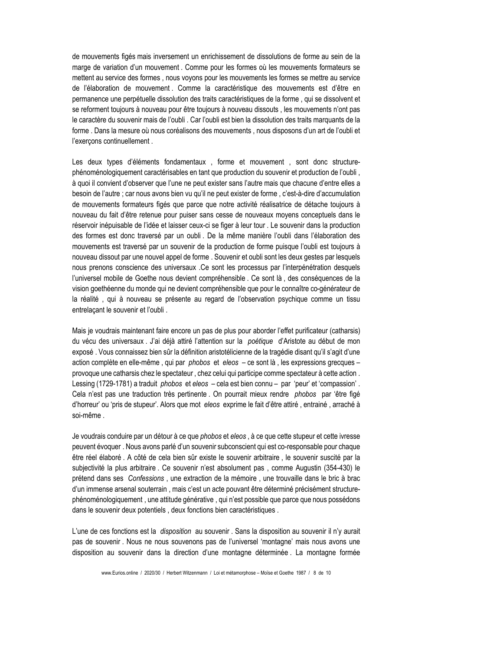de mouvements figés mais inversement un enrichissement de dissolutions de forme au sein de la marge de variation d'un mouvement . Comme pour les formes où les mouvements formateurs se mettent au service des formes, nous voyons pour les mouvements les formes se mettre au service de l'élaboration de mouvement. Comme la caractéristique des mouvements est d'être en permanence une perpétuelle dissolution des traits caractéristiques de la forme, qui se dissolvent et se reforment toujours à nouveau pour être toujours à nouveau dissouts, les mouvements n'ont pas le caractère du souvenir mais de l'oubli. Car l'oubli est bien la dissolution des traits marquants de la forme. Dans la mesure où nous coréalisons des mouvements, nous disposons d'un art de l'oubli et l'exerçons continuellement.

Les deux types d'éléments fondamentaux, forme et mouvement, sont donc structurephénoménologiquement caractérisables en tant que production du souvenir et production de l'oubli, à quoi il convient d'observer que l'une ne peut exister sans l'autre mais que chacune d'entre elles a besoin de l'autre ; car nous avons bien vu qu'il ne peut exister de forme, c'est-à-dire d'accumulation de mouvements formateurs figés que parce que notre activité réalisatrice de détache toujours à nouveau du fait d'être retenue pour puiser sans cesse de nouveaux movens conceptuels dans le réservoir inépuisable de l'idée et laisser ceux-ci se figer à leur tour . Le souvenir dans la production des formes est donc traversé par un oubli. De la même manière l'oubli dans l'élaboration des mouvements est traversé par un souvenir de la production de forme puisque l'oubli est toujours à nouveau dissout par une nouvel appel de forme. Souvenir et oubli sont les deux gestes par lesquels nous prenons conscience des universaux .Ce sont les processus par l'interpénétration desquels l'universel mobile de Goethe nous devient compréhensible. Ce sont là, des conséquences de la vision goethéenne du monde qui ne devient compréhensible que pour le connaître co-générateur de la réalité, qui à nouveau se présente au regard de l'observation psychique comme un tissu entrelaçant le souvenir et l'oubli.

Mais je voudrais maintenant faire encore un pas de plus pour aborder l'effet purificateur (catharsis) du vécu des universaux . J'ai déjà attiré l'attention sur la poétique d'Aristote au début de mon exposé. Vous connaissez bien sûr la définition aristotélicienne de la tragédie disant qu'il s'agit d'une action complète en elle-même, qui par *phobos* et eleos - ce sont là, les expressions grecques provoque une catharsis chez le spectateur, chez celui qui participe comme spectateur à cette action. Lessing (1729-1781) a traduit phobos et eleos - cela est bien connu - par 'peur' et 'compassion'. Cela n'est pas une traduction très pertinente. On pourrait mieux rendre phobos par 'être figé d'horreur' ou 'pris de stupeur'. Alors que mot eleos exprime le fait d'être attiré, entrainé, arraché à soi-même.

Je voudrais conduire par un détour à ce que *phobos* et eleos. à ce que cette stupeur et cette ivresse peuvent évoquer. Nous avons parlé d'un souvenir subconscient qui est co-responsable pour chaque être réel élaboré. A côté de cela bien sûr existe le souvenir arbitraire, le souvenir suscité par la subjectivité la plus arbitraire . Ce souvenir n'est absolument pas, comme Augustin (354-430) le prétend dans ses Confessions, une extraction de la mémoire, une trouvaille dans le bric à brac d'un immense arsenal souterrain, mais c'est un acte pouvant être déterminé précisément structurephénoménologiquement, une attitude générative, qui n'est possible que parce que nous possédons dans le souvenir deux potentiels, deux fonctions bien caractéristiques.

L'une de ces fonctions est la *disposition* au souvenir. Sans la disposition au souvenir il n'y aurait pas de souvenir. Nous ne nous souvenons pas de l'universel 'montagne' mais nous avons une disposition au souvenir dans la direction d'une montagne déterminée . La montagne formée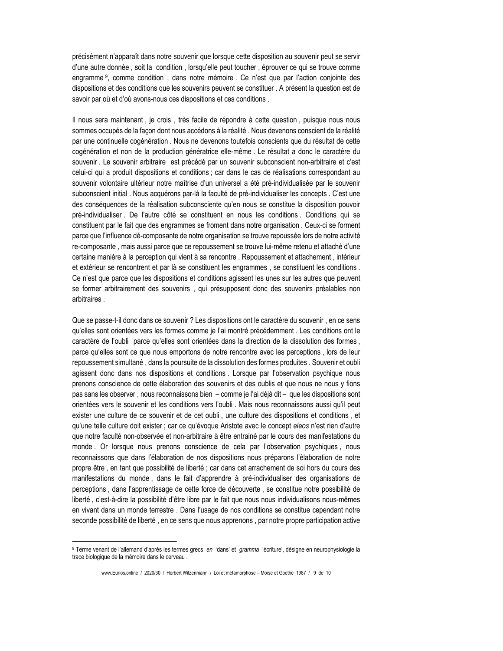précisément n'apparaît dans notre souvenir que lorsque cette disposition au souvenir peut se servir d'une autre donnée, soit la condition, lorsqu'elle peut toucher, éprouver ce qui se trouve comme engramme<sup>9</sup>, comme condition, dans notre mémoire. Ce n'est que par l'action conjointe des dispositions et des conditions que les souvenirs peuvent se constituer. A présent la question est de savoir par où et d'où avons-nous ces dispositions et ces conditions.

Il nous sera maintenant, je crois, très facile de répondre à cette question, puisque nous nous sommes occupés de la façon dont nous accédons à la réalité. Nous devenons conscient de la réalité par une continuelle cogénération. Nous ne devenons toutefois conscients que du résultat de cette cogénération et non de la production génératrice elle-même. Le résultat a donc le caractère du souvenir. Le souvenir arbitraire est précédé par un souvenir subconscient non-arbitraire et c'est celui-ci qui a produit dispositions et conditions ; car dans le cas de réalisations correspondant au souvenir volontaire ultérieur notre maîtrise d'un universel a été pré-individualisée par le souvenir subconscient initial. Nous acquérons par-là la faculté de pré-individualiser les concepts. C'est une des conséquences de la réalisation subconsciente qu'en nous se constitue la disposition pouvoir pré-individualiser. De l'autre côté se constituent en nous les conditions. Conditions qui se constituent par le fait que des engrammes se froment dans notre organisation . Ceux-ci se forment parce que l'influence dé-composante de notre organisation se trouve repoussée lors de notre activité re-composante, mais aussi parce que ce repoussement se trouve lui-même retenu et attaché d'une certaine manière à la perception qui vient à sa rencontre . Repoussement et attachement, intérieur et extérieur se rencontrent et par là se constituent les engrammes, se constituent les conditions. Ce n'est que parce que les dispositions et conditions agissent les unes sur les autres que peuvent se former arbitrairement des souvenirs, qui présupposent donc des souvenirs préalables non arbitraires.

Que se passe-t-il donc dans ce souvenir ? Les dispositions ont le caractère du souvenir, en ce sens qu'elles sont orientées vers les formes comme je l'ai montré précédemment. Les conditions ont le caractère de l'oubli parce qu'elles sont orientées dans la direction de la dissolution des formes, parce qu'elles sont ce que nous emportons de notre rencontre avec les perceptions, lors de leur repoussement simultané, dans la poursuite de la dissolution des formes produites. Souvenir et oubli agissent donc dans nos dispositions et conditions. Lorsque par l'observation psychique nous prenons conscience de cette élaboration des souvenirs et des oublis et que nous ne nous y fions pas sans les observer, nous reconnaissons bien - comme je l'ai déjà dit - que les dispositions sont orientées vers le souvenir et les conditions vers l'oubli. Mais nous reconnaissons aussi qu'il peut exister une culture de ce souvenir et de cet oubli, une culture des dispositions et conditions, et qu'une telle culture doit exister ; car ce qu'évoque Aristote avec le concept eleos n'est rien d'autre que notre faculté non-observée et non-arbitraire à être entrainé par le cours des manifestations du monde. Or lorsque nous prenons conscience de cela par l'observation psychiques, nous reconnaissons que dans l'élaboration de nos dispositions nous préparons l'élaboration de notre propre être, en tant que possibilité de liberté ; car dans cet arrachement de soi hors du cours des manifestations du monde, dans le fait d'apprendre à pré-individualiser des organisations de perceptions, dans l'apprentissage de cette force de découverte, se constitue notre possibilité de liberté, c'est-à-dire la possibilité d'être libre par le fait que nous nous individualisons nous-mêmes en vivant dans un monde terrestre. Dans l'usage de nos conditions se constitue cependant notre seconde possibilité de liberté, en ce sens que nous apprenons, par notre propre participation active

<sup>9</sup> Terme venant de l'allemand d'après les termes grecs en 'dans' et gramma 'écriture', désigne en neurophysiologie la trace biologique de la mémoire dans le cerveau.

www.Eurios.online / 2020/30 / Herbert Witzenmann / Loi et métamorphose - Moïse et Goethe 1987 / 9 de 10